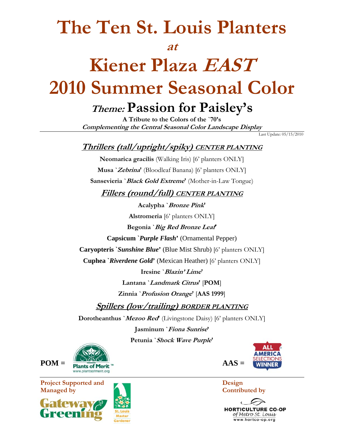## **The Ten St. Louis Planters**

#### **at**

# **Kiener Plaza EAST 2010 Summer Seasonal Color**

### **Theme: Passion for Paisley's**

**A Tribute to the Colors of the `70's Complementing the Central Seasonal Color Landscape Display** 

Last Update: 05/15/2010

### **Thrillers (tall/upright/spiky) CENTER PLANTING**

**Neomarica gracilis** (Walking Iris) [6' planters ONLY] **Musa `Zebrina'** (Bloodleaf Banana) [6' planters ONLY] **Sansevieria `Black Gold Extreme'** (Mother-in-Law Tongue)

**Fillers (round/full) CENTER PLANTING**

**Acalypha `Bronze Pink' Alstromeria** [6' planters ONLY] **Begonia `Big Red Bronze Leaf'** 

**Capsicum `***Purple Flash***'** (Ornamental Pepper)

**Caryopteris `***Sunshine Blue***'** (Blue Mist Shrub) [6' planters ONLY]

**Cuphea `***Riverdene Gold***'** (Mexican Heather) [6' planters ONLY]

**Iresine `Blazin' Lime' Lantana `Landmark Citrus'** [**POM**]

**Zinnia `Profusion Orange'** [**AAS 1999**]

**Spillers (low/trailing) BORDER PLANTING**

**Dorotheanthus `Mezoo Red'** (Livingstone Daisy) [6' planters ONLY]

**Jasminum `Fiona Sunrise' Petunia `Shock Wave Purple'** 









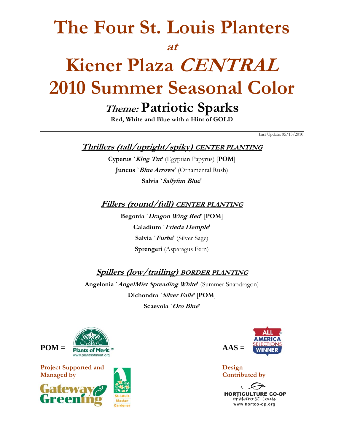### **The Four St. Louis Planters**

#### **at**

# **Kiener Plaza CENTRAL 2010 Summer Seasonal Color**

### **Theme: Patriotic Sparks**

**Red, White and Blue with a Hint of GOLD** 

Last Update: 05/15/2010

#### **Thrillers (tall/upright/spiky) CENTER PLANTING**

**Cyperus `King Tut'** (Egyptian Papyrus) [**POM**] **Juncus `Blue Arrows'** (Ornamental Rush) **Salvia `Sallyfun Blue'** 

#### **Fillers (round/full) CENTER PLANTING**

**Begonia `Dragon Wing Red'** [**POM**] **Caladium `Frieda Hemple' Salvia `Furbe'** (Silver Sage) **Sprengeri** (Asparagus Fern)

**Spillers (low/trailing) BORDER PLANTING**

**Angelonia `AngelMist Spreading White'** (Summer Snapdragon) **Dichondra `Silver Falls'** [**POM**] **Scaevola `Oro Blue'** 



**Project Supported and Design**  Design **Design Managed by Contributed by** Contributed by